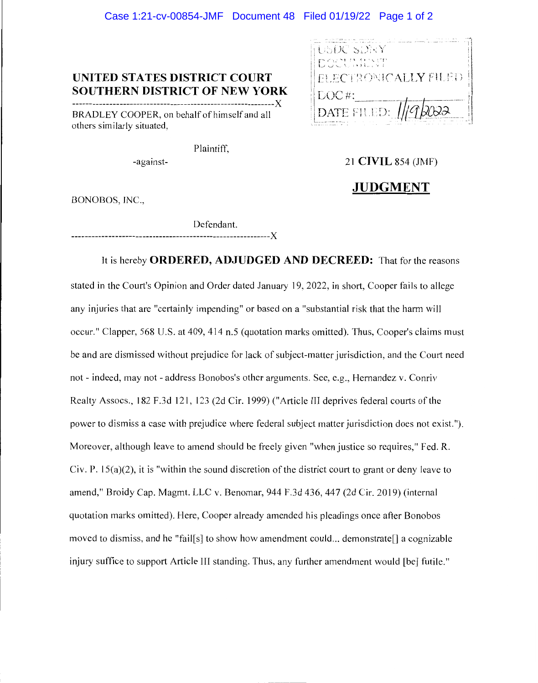#### Case 1:21-cv-00854-JMF Document 48 Filed 01/19/22 Page 1 of 2

#### **UNITED STATES DISTRICT COURT SOUTHERN DISTRICT OF NEW YORK**

------------------------------------------------------------X BRADLEY COOPER, on behalf of himself and all others similarly situated,

15 DC -SDRY **f--.** ,- '· ,· .., l : \ ,e; !! , '• ' - ! ' **l\_\_.,.** .\_\_,J -'--· \ •,I\_;\_\_, FLECTRONICALLY FILED. LUC#: E FILED<sup>.</sup>

Plaintiff,

-against-

21 **CIVIL** 854 (JMF)

#### **JUDGMENT**

BONOBOS, INC.,

Defendant.

-----------------------------------------------------------X

It is hereby **ORDERED, ADJUDGED AND DECREED:** That for the reasons stated in the Court's Opinion and Order dated January 19, 2022, in short, Cooper fails to allege any injuries that are "certainly impending" or based on a "substantial risk that the harm will occur." Clapper, 568 U.S. at 409, 414 n.5 (quotation marks omitted). Thus, Cooper's claims must be and are dismissed without prejudice for lack of subject-matter jurisdiction, and the Court need not - indeed, may not - address Bonobos's other arguments. See, e.g., Hernandez v. Conriv Realty Assocs., 182 F .3d 121, 123 (2d Cir. 1999) ("Article III deprives federal courts of the power to dismiss a case with prejudice where federal subject matter jurisdiction does not exist."). Moreover, although leave to amend should be freely given "when justice so requires," Fed. R. Civ. P.  $15(a)(2)$ , it is "within the sound discretion of the district court to grant or deny leave to amend," Broidy Cap. Magmt. LLC v. Benomar, 944 F.3d 436,447 (2d Cir. 2019) (internal quotation marks omitted). Here, Cooper already amended his pleadings once after Bonobos moved to dismiss, and he "fail[s] to show how amendment could ... demonstrate[] a cognizable injury suffice to support Article III standing. Thus, any further amendment would [be] futile."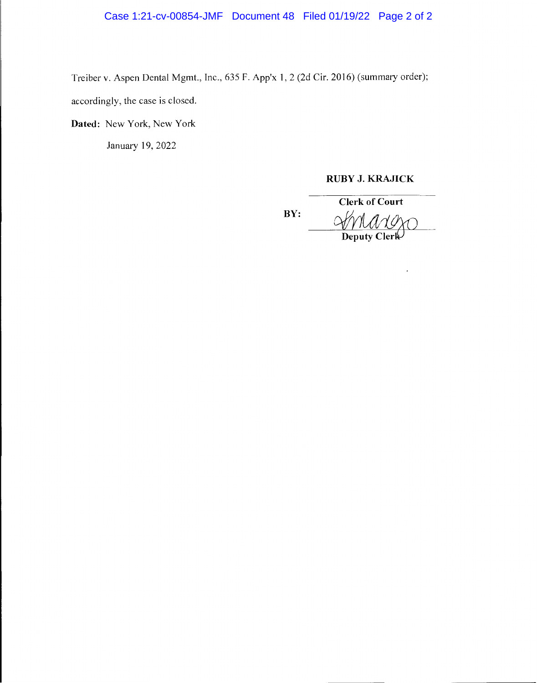Case 1:21-cv-00854-JMF Document 48 Filed 01/19/22 Page 2 of 2

Treiber v. Aspen Dental Mgmt., Inc., 635 F. App'x 1, 2 (2d Cir. 2016) (summary order);

accordingly, the case is closed.

**Dated:** New York, New York

January 19, 2022

#### **RUBY J. KRAJICK**

**BY:** 

**Clerk of Court**  UBY J. KRAJICK<br>Clerk of Court<br>MMMM

 $\cdot$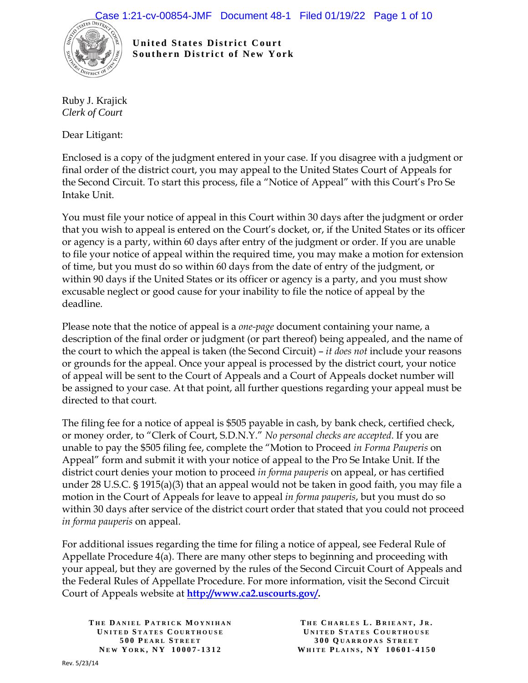

**United States District Court Southern District of New York** 

Ruby J. Krajick *Clerk of Court*

Dear Litigant:

Enclosed is a copy of the judgment entered in your case. If you disagree with a judgment or final order of the district court, you may appeal to the United States Court of Appeals for the Second Circuit. To start this process, file a "Notice of Appeal" with this Court's Pro Se Intake Unit.

You must file your notice of appeal in this Court within 30 days after the judgment or order that you wish to appeal is entered on the Court's docket, or, if the United States or its officer or agency is a party, within 60 days after entry of the judgment or order. If you are unable to file your notice of appeal within the required time, you may make a motion for extension of time, but you must do so within 60 days from the date of entry of the judgment, or within 90 days if the United States or its officer or agency is a party, and you must show excusable neglect or good cause for your inability to file the notice of appeal by the deadline.

Please note that the notice of appeal is a *one-page* document containing your name, a description of the final order or judgment (or part thereof) being appealed, and the name of the court to which the appeal is taken (the Second Circuit) – *it does not* include your reasons or grounds for the appeal. Once your appeal is processed by the district court, your notice of appeal will be sent to the Court of Appeals and a Court of Appeals docket number will be assigned to your case. At that point, all further questions regarding your appeal must be directed to that court.

The filing fee for a notice of appeal is \$505 payable in cash, by bank check, certified check, or money order, to "Clerk of Court, S.D.N.Y." *No personal checks are accepted*. If you are unable to pay the \$505 filing fee, complete the "Motion to Proceed *in Forma Pauperis* on Appeal" form and submit it with your notice of appeal to the Pro Se Intake Unit. If the district court denies your motion to proceed *in forma pauperis* on appeal, or has certified under 28 U.S.C.  $\S 1915(a)(3)$  that an appeal would not be taken in good faith, you may file a motion in the Court of Appeals for leave to appeal *in forma pauperis*, but you must do so within 30 days after service of the district court order that stated that you could not proceed *in forma pauperis* on appeal.

For additional issues regarding the time for filing a notice of appeal, see Federal Rule of Appellate Procedure 4(a). There are many other steps to beginning and proceeding with your appeal, but they are governed by the rules of the Second Circuit Court of Appeals and the Federal Rules of Appellate Procedure. For more information, visit the Second Circuit Court of Appeals website at **http://www.ca2.uscourts.gov/.**

**T HE D ANIEL P ATRICK M OYNIHAN U NITED S TATES C OURTHOUSE 500 P EARL S TREET N EW Y ORK , N Y 10007 - 1312**

**T HE C HARLES L . B RIEANT , J R . U NITED S TATES C OURTHOUSE 300 Q UARROPAS S TREET WHITE P LAINS , N Y 10601 - 4150**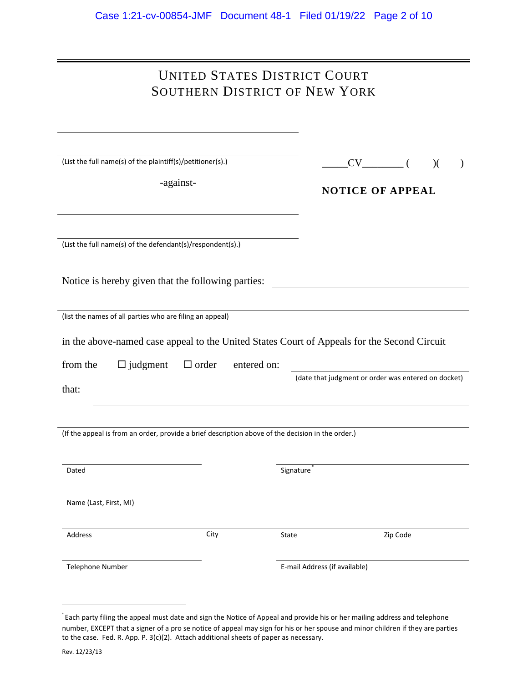| UNITED STATES DISTRICT COURT  |  |
|-------------------------------|--|
| SOUTHERN DISTRICT OF NEW YORK |  |

| (List the full name(s) of the plaintiff(s)/petitioner(s).)                                        | $CV$ ( )(                                                                                   |
|---------------------------------------------------------------------------------------------------|---------------------------------------------------------------------------------------------|
| -against-                                                                                         |                                                                                             |
|                                                                                                   | <b>NOTICE OF APPEAL</b>                                                                     |
|                                                                                                   |                                                                                             |
|                                                                                                   |                                                                                             |
|                                                                                                   |                                                                                             |
|                                                                                                   |                                                                                             |
| (List the full name(s) of the defendant(s)/respondent(s).)                                        |                                                                                             |
|                                                                                                   |                                                                                             |
|                                                                                                   |                                                                                             |
| Notice is hereby given that the following parties:                                                |                                                                                             |
|                                                                                                   |                                                                                             |
| (list the names of all parties who are filing an appeal)                                          |                                                                                             |
|                                                                                                   |                                                                                             |
|                                                                                                   |                                                                                             |
|                                                                                                   | in the above-named case appeal to the United States Court of Appeals for the Second Circuit |
| from the<br>$\Box$ order                                                                          | entered on:                                                                                 |
| $\Box$ judgment                                                                                   |                                                                                             |
|                                                                                                   |                                                                                             |
|                                                                                                   | (date that judgment or order was entered on docket)                                         |
| that:                                                                                             |                                                                                             |
|                                                                                                   |                                                                                             |
|                                                                                                   |                                                                                             |
| (If the appeal is from an order, provide a brief description above of the decision in the order.) |                                                                                             |
|                                                                                                   |                                                                                             |
|                                                                                                   |                                                                                             |
| Dated                                                                                             | Signature <sup>1</sup>                                                                      |
|                                                                                                   |                                                                                             |
|                                                                                                   |                                                                                             |
| Name (Last, First, MI)                                                                            |                                                                                             |
|                                                                                                   |                                                                                             |
|                                                                                                   |                                                                                             |
| City<br>Address                                                                                   | State<br>Zip Code                                                                           |
|                                                                                                   |                                                                                             |
| Telephone Number                                                                                  | E-mail Address (if available)                                                               |
|                                                                                                   |                                                                                             |

 <sup>\*</sup> Each party filing the appeal must date and sign the Notice of Appeal and provide his or her mailing address and telephone number, EXCEPT that a signer of a pro se notice of appeal may sign for his or her spouse and minor children if they are parties to the case. Fed. R. App. P. 3(c)(2). Attach additional sheets of paper as necessary.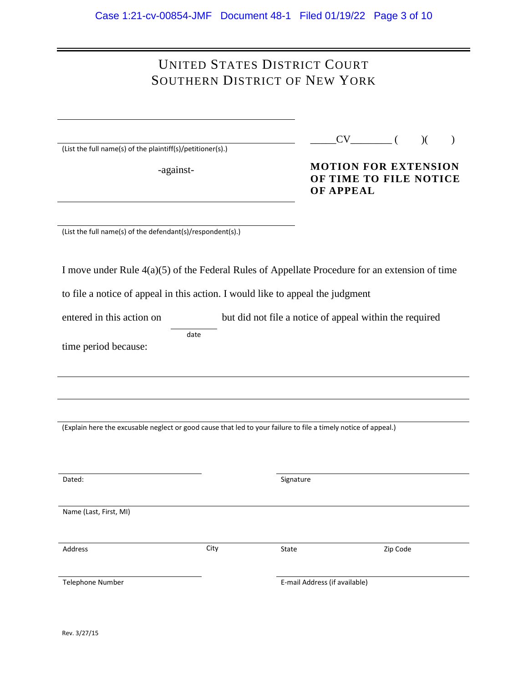## UNITED STATES DISTRICT COURT SOUTHERN DISTRICT OF NEW YORK

|  |  | (List the full name(s) of the plaintiff(s)/petitioner(s).) |  |
|--|--|------------------------------------------------------------|--|
|  |  |                                                            |  |

-against-

|--|--|--|--|--|

**MOTION FOR EXTENSION OF TIME TO FILE NOTICE OF APPEAL**

(List the full name(s) of the defendant(s)/respondent(s).)

| I move under Rule $4(a)(5)$ of the Federal Rules of Appellate Procedure for an extension of time |  |  |
|--------------------------------------------------------------------------------------------------|--|--|
|                                                                                                  |  |  |

to file a notice of appeal in this action. I would like to appeal the judgment

entered in this action on but did not file a notice of appeal within the required date

time period because:

(Explain here the excusable neglect or good cause that led to your failure to file a timely notice of appeal.)

| Dated:                 |      | Signature                     |          |
|------------------------|------|-------------------------------|----------|
|                        |      |                               |          |
|                        |      |                               |          |
|                        |      |                               |          |
|                        |      |                               |          |
| Name (Last, First, MI) |      |                               |          |
|                        |      |                               |          |
|                        |      |                               |          |
|                        |      |                               |          |
|                        |      |                               |          |
| Address                | City | State                         | Zip Code |
|                        |      |                               |          |
|                        |      |                               |          |
|                        |      |                               |          |
|                        |      |                               |          |
| Telephone Number       |      | E-mail Address (if available) |          |
|                        |      |                               |          |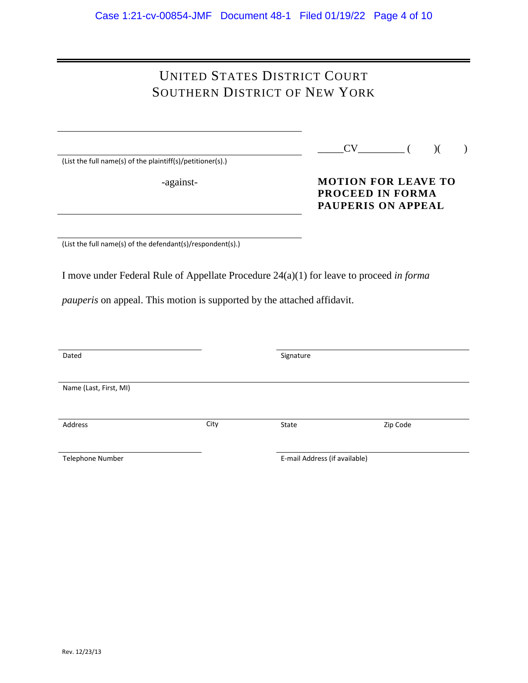# UNITED STATES DISTRICT COURT SOUTHERN DISTRICT OF NEW YORK

(List the full name(s) of the plaintiff(s)/petitioner(s).)

-against-

### **MOTION FOR LEAVE TO PROCEED IN FORMA PAUPERIS ON APPEAL**

(List the full name(s) of the defendant(s)/respondent(s).)

I move under Federal Rule of Appellate Procedure 24(a)(1) for leave to proceed *in forma* 

*pauperis* on appeal. This motion is supported by the attached affidavit.

| Dated                  |      | Signature                     |          |
|------------------------|------|-------------------------------|----------|
|                        |      |                               |          |
|                        |      |                               |          |
|                        |      |                               |          |
| Name (Last, First, MI) |      |                               |          |
|                        |      |                               |          |
|                        |      |                               |          |
|                        |      |                               |          |
| Address                | City | State                         | Zip Code |
|                        |      |                               |          |
|                        |      |                               |          |
|                        |      |                               |          |
| Telephone Number       |      | E-mail Address (if available) |          |
|                        |      |                               |          |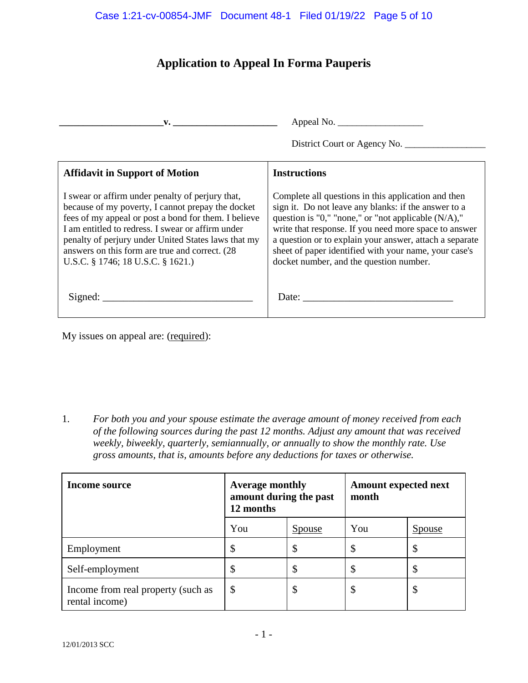## **Application to Appeal In Forma Pauperis**

| $\mathbf{v}$ . $\mathbf{v}$                                                                                                                                                                                                                                                                                                                                       | Appeal No. $\frac{1}{\sqrt{1-\frac{1}{2}} \cdot \frac{1}{2}}$                                                                                                                                                                                                                                                                                                                                 |
|-------------------------------------------------------------------------------------------------------------------------------------------------------------------------------------------------------------------------------------------------------------------------------------------------------------------------------------------------------------------|-----------------------------------------------------------------------------------------------------------------------------------------------------------------------------------------------------------------------------------------------------------------------------------------------------------------------------------------------------------------------------------------------|
|                                                                                                                                                                                                                                                                                                                                                                   | District Court or Agency No.                                                                                                                                                                                                                                                                                                                                                                  |
| <b>Affidavit in Support of Motion</b>                                                                                                                                                                                                                                                                                                                             | <b>Instructions</b>                                                                                                                                                                                                                                                                                                                                                                           |
| I swear or affirm under penalty of perjury that,<br>because of my poverty, I cannot prepay the docket<br>fees of my appeal or post a bond for them. I believe<br>I am entitled to redress. I swear or affirm under<br>penalty of perjury under United States laws that my<br>answers on this form are true and correct. (28)<br>U.S.C. § 1746; 18 U.S.C. § 1621.) | Complete all questions in this application and then<br>sign it. Do not leave any blanks: if the answer to a<br>question is "0," "none," or "not applicable $(N/A)$ ,"<br>write that response. If you need more space to answer<br>a question or to explain your answer, attach a separate<br>sheet of paper identified with your name, your case's<br>docket number, and the question number. |
|                                                                                                                                                                                                                                                                                                                                                                   |                                                                                                                                                                                                                                                                                                                                                                                               |

My issues on appeal are: (required):

1. *For both you and your spouse estimate the average amount of money received from each of the following sources during the past 12 months. Adjust any amount that was received weekly, biweekly, quarterly, semiannually, or annually to show the monthly rate. Use gross amounts, that is, amounts before any deductions for taxes or otherwise.* 

| Income source                                        | <b>Average monthly</b><br>amount during the past<br>12 months |               | month |               | <b>Amount expected next</b> |  |
|------------------------------------------------------|---------------------------------------------------------------|---------------|-------|---------------|-----------------------------|--|
|                                                      | You                                                           | <u>Spouse</u> | You   | <b>Spouse</b> |                             |  |
| Employment                                           | \$                                                            | D             | \$    | ۰D            |                             |  |
| Self-employment                                      |                                                               | ◡             |       |               |                             |  |
| Income from real property (such as<br>rental income) | \$                                                            | Φ             | \$    | D             |                             |  |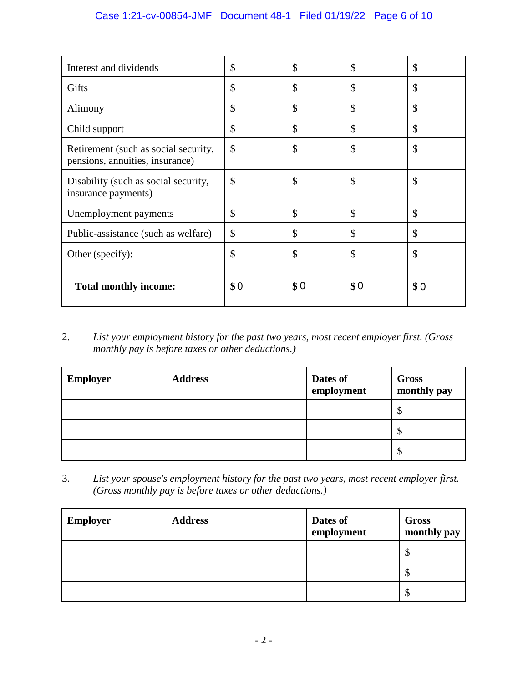### Case 1:21-cv-00854-JMF Document 48-1 Filed 01/19/22 Page 6 of 10

| Interest and dividends                                                  | \$  | \$  | \$  | \$  |
|-------------------------------------------------------------------------|-----|-----|-----|-----|
| Gifts                                                                   | \$  | \$  | \$  | \$  |
| Alimony                                                                 | \$  | \$  | \$  | \$  |
| Child support                                                           | \$  | \$  | \$  | \$  |
| Retirement (such as social security,<br>pensions, annuities, insurance) | \$  | \$  | \$  | \$  |
| Disability (such as social security,<br>insurance payments)             | \$  | \$  | \$  | \$  |
| Unemployment payments                                                   | \$  | \$  | \$  | \$  |
| Public-assistance (such as welfare)                                     | \$  | \$  | \$  | \$  |
| Other (specify):                                                        | \$  | \$  | \$  | \$  |
| <b>Total monthly income:</b>                                            | \$0 | \$0 | \$0 | \$0 |

2. *List your employment history for the past two years, most recent employer first. (Gross monthly pay is before taxes or other deductions.)*

| <b>Employer</b> | <b>Address</b> | Dates of<br>employment | Gross<br>monthly pay |
|-----------------|----------------|------------------------|----------------------|
|                 |                |                        | Φ                    |
|                 |                |                        | Φ                    |
|                 |                |                        | Φ                    |

3. *List your spouse's employment history for the past two years, most recent employer first. (Gross monthly pay is before taxes or other deductions.)*

| <b>Employer</b> | <b>Address</b> | Dates of<br>employment | Gross<br>monthly pay |
|-----------------|----------------|------------------------|----------------------|
|                 |                |                        | ◡                    |
|                 |                |                        | ◡                    |
|                 |                |                        | ¢<br>⊅               |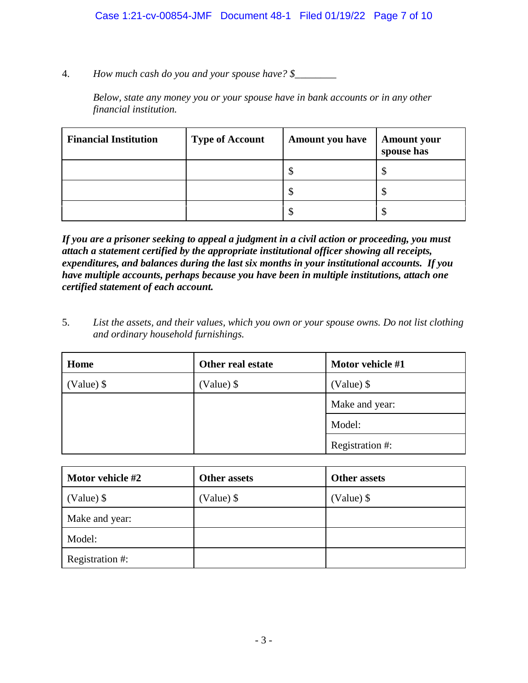4. *How much cash do you and your spouse have? \$\_\_\_\_\_\_\_\_*

*Below, state any money you or your spouse have in bank accounts or in any other financial institution.*

| <b>Financial Institution</b> | <b>Type of Account</b> | <b>Amount you have</b>     | <b>Amount your</b><br>spouse has |
|------------------------------|------------------------|----------------------------|----------------------------------|
|                              |                        | $\boldsymbol{\mathcal{S}}$ |                                  |
|                              |                        | \$                         |                                  |
|                              |                        | \$                         |                                  |

*If you are a prisoner seeking to appeal a judgment in a civil action or proceeding, you must attach a statement certified by the appropriate institutional officer showing all receipts, expenditures, and balances during the last six months in your institutional accounts. If you have multiple accounts, perhaps because you have been in multiple institutions, attach one certified statement of each account.*

5. *List the assets, and their values, which you own or your spouse owns. Do not list clothing and ordinary household furnishings.*

| Home         | Other real estate | Motor vehicle #1 |
|--------------|-------------------|------------------|
| $(Value)$ \$ | (Value) \$        | $(Value)$ \$     |
|              |                   | Make and year:   |
|              |                   | Model:           |
|              |                   | Registration #:  |

| Motor vehicle #2 | <b>Other assets</b> | <b>Other assets</b> |
|------------------|---------------------|---------------------|
| $(Value)$ \$     | (Value) \$          | (Value) \$          |
| Make and year:   |                     |                     |
| Model:           |                     |                     |
| Registration #:  |                     |                     |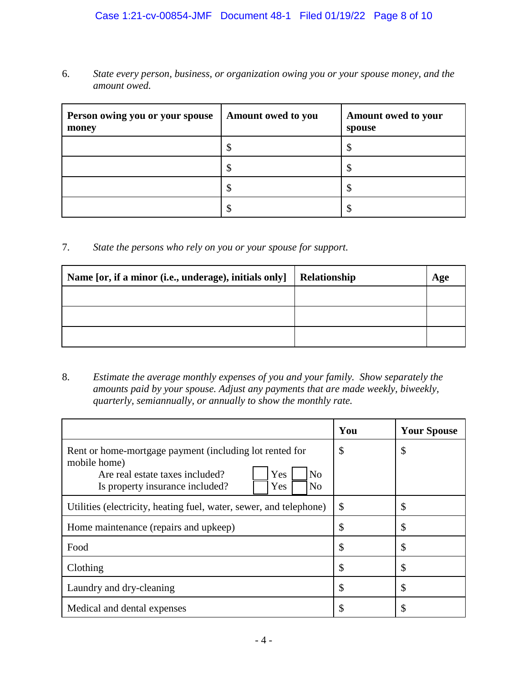### Case 1:21-cv-00854-JMF Document 48-1 Filed 01/19/22 Page 8 of 10

6. *State every person, business, or organization owing you or your spouse money, and the amount owed.*

| Person owing you or your spouse<br>money | Amount owed to you | Amount owed to your<br>spouse |
|------------------------------------------|--------------------|-------------------------------|
|                                          |                    |                               |
|                                          | ۸D                 |                               |
|                                          | ۸D                 |                               |
|                                          |                    |                               |

7. *State the persons who rely on you or your spouse for support.*

| Name [or, if a minor (i.e., underage), initials only] | Relationship | Age |
|-------------------------------------------------------|--------------|-----|
|                                                       |              |     |
|                                                       |              |     |
|                                                       |              |     |

8. *Estimate the average monthly expenses of you and your family. Show separately the amounts paid by your spouse. Adjust any payments that are made weekly, biweekly, quarterly, semiannually, or annually to show the monthly rate.*

|                                                                                                                                                                                                 | You | <b>Your Spouse</b> |
|-------------------------------------------------------------------------------------------------------------------------------------------------------------------------------------------------|-----|--------------------|
| Rent or home-mortgage payment (including lot rented for<br>mobile home)<br>N <sub>0</sub><br>Yes<br>Are real estate taxes included?<br>Is property insurance included?<br>N <sub>o</sub><br>Yes | \$  | \$                 |
| Utilities (electricity, heating fuel, water, sewer, and telephone)                                                                                                                              | \$  | \$                 |
| Home maintenance (repairs and upkeep)                                                                                                                                                           | \$  | \$                 |
| Food                                                                                                                                                                                            | \$  | \$                 |
| Clothing                                                                                                                                                                                        | \$  | \$                 |
| Laundry and dry-cleaning                                                                                                                                                                        | \$  | \$                 |
| Medical and dental expenses                                                                                                                                                                     | \$  | \$                 |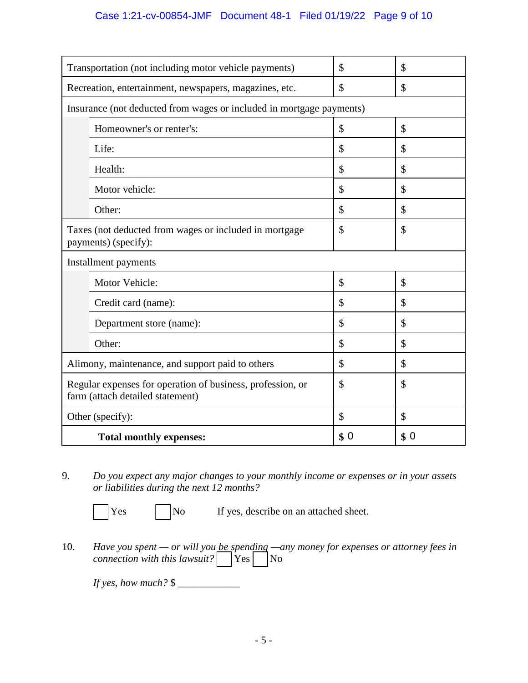### Case 1:21-cv-00854-JMF Document 48-1 Filed 01/19/22 Page 9 of 10

| Transportation (not including motor vehicle payments)                                          | \$  | \$  |
|------------------------------------------------------------------------------------------------|-----|-----|
| Recreation, entertainment, newspapers, magazines, etc.                                         | \$  | \$  |
| Insurance (not deducted from wages or included in mortgage payments)                           |     |     |
| Homeowner's or renter's:                                                                       | \$  | \$  |
| Life:                                                                                          | \$  | \$  |
| Health:                                                                                        | \$  | \$  |
| Motor vehicle:                                                                                 | \$  | \$  |
| Other:                                                                                         | \$  | \$  |
| Taxes (not deducted from wages or included in mortgage<br>payments) (specify):                 | \$  | \$  |
| Installment payments                                                                           |     |     |
| Motor Vehicle:                                                                                 | \$  | \$  |
| Credit card (name):                                                                            | \$  | \$  |
| Department store (name):                                                                       | \$  | \$  |
| Other:                                                                                         | \$  | \$  |
| Alimony, maintenance, and support paid to others                                               | \$  | \$  |
| Regular expenses for operation of business, profession, or<br>farm (attach detailed statement) | \$  | \$  |
| Other (specify):                                                                               | \$  | \$  |
| <b>Total monthly expenses:</b>                                                                 | \$0 | \$0 |

9. *Do you expect any major changes to your monthly income or expenses or in your assets or liabilities during the next 12 months?*

 $\begin{array}{ccc} \n\text{Yes} & | & |\n\text{No} & \text{If yes, describe on an attached sheet.}\n\end{array}$ 

10. *Have you spent — or will you be spending —any money for expenses or attorney fees in connection with this lawsuit?*  $\sqrt{\frac{1}{1 + \frac{1}{1 + \cdots}}}\$ No

*If yes, how much?* \$